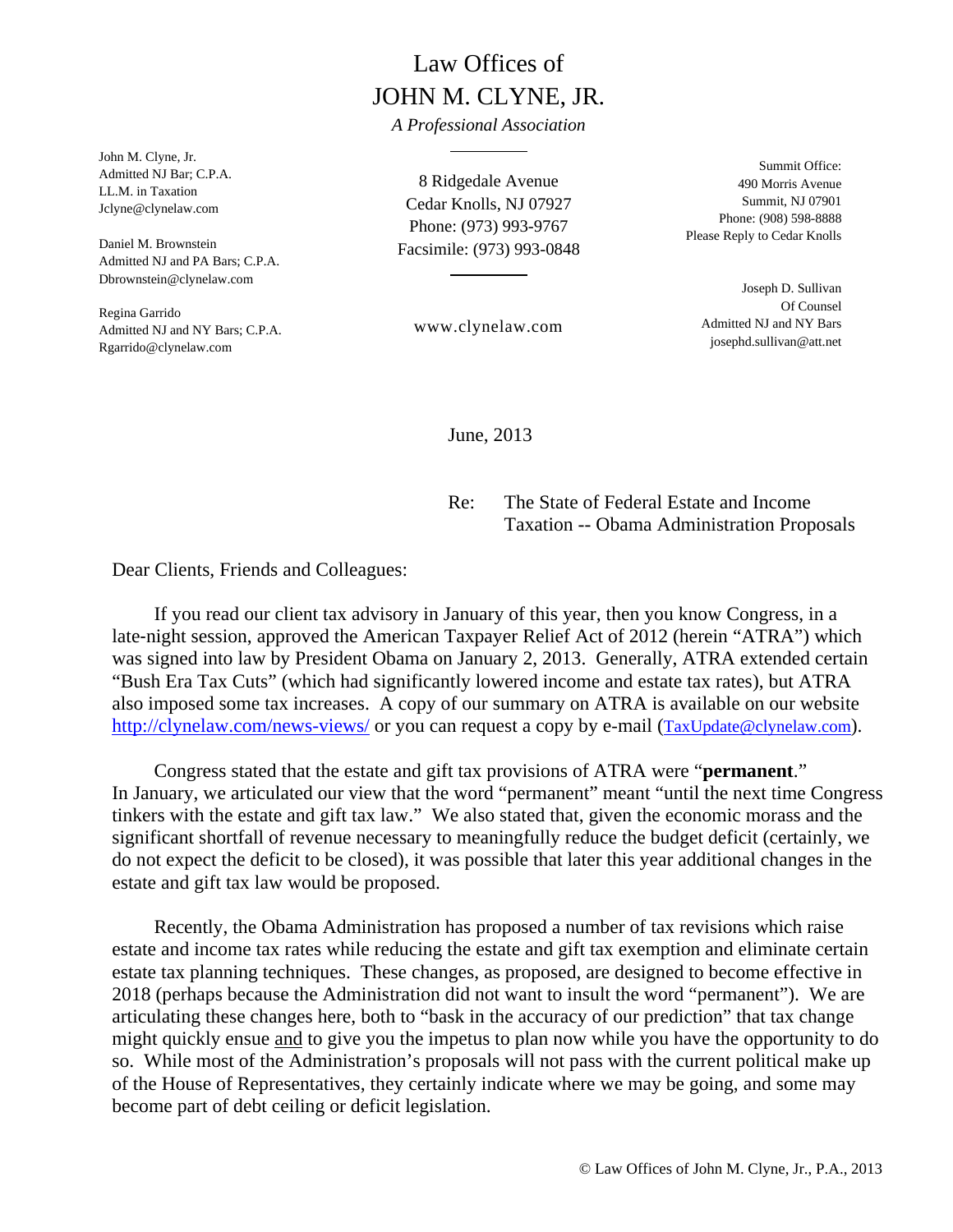# Law Offices of JOHN M. CLYNE, JR.

*A Professional Association* 

John M. Clyne, Jr. Admitted NJ Bar; C.P.A. LL.M. in Taxation Jclyne@clynelaw.com

Daniel M. Brownstein Admitted NJ and PA Bars; C.P.A. Dbrownstein@clynelaw.com

Regina Garrido Admitted NJ and NY Bars; C.P.A. Rgarrido@clynelaw.com

8 Ridgedale Avenue Cedar Knolls, NJ 07927 Phone: (973) 993-9767 Facsimile: (973) 993-0848

www.clynelaw.com

Summit Office: 490 Morris Avenue Summit, NJ 07901 Phone: (908) 598-8888 Please Reply to Cedar Knolls

> Joseph D. Sullivan Of Counsel Admitted NJ and NY Bars josephd.sullivan@att.net

June, 2013

Re: The State of Federal Estate and Income Taxation -- Obama Administration Proposals

Dear Clients, Friends and Colleagues:

 If you read our client tax advisory in January of this year, then you know Congress, in a late-night session, approved the American Taxpayer Relief Act of 2012 (herein "ATRA") which was signed into law by President Obama on January 2, 2013. Generally, ATRA extended certain "Bush Era Tax Cuts" (which had significantly lowered income and estate tax rates), but ATRA also imposed some tax increases. A copy of our summary on ATRA is available on our website http://clynelaw.com/news-views/ or you can request a copy by e-mail (TaxUpdate@clynelaw.com).

 Congress stated that the estate and gift tax provisions of ATRA were "**permanent**." In January, we articulated our view that the word "permanent" meant "until the next time Congress tinkers with the estate and gift tax law." We also stated that, given the economic morass and the significant shortfall of revenue necessary to meaningfully reduce the budget deficit (certainly, we do not expect the deficit to be closed), it was possible that later this year additional changes in the estate and gift tax law would be proposed.

 Recently, the Obama Administration has proposed a number of tax revisions which raise estate and income tax rates while reducing the estate and gift tax exemption and eliminate certain estate tax planning techniques. These changes, as proposed, are designed to become effective in 2018 (perhaps because the Administration did not want to insult the word "permanent"). We are articulating these changes here, both to "bask in the accuracy of our prediction" that tax change might quickly ensue and to give you the impetus to plan now while you have the opportunity to do so. While most of the Administration's proposals will not pass with the current political make up of the House of Representatives, they certainly indicate where we may be going, and some may become part of debt ceiling or deficit legislation.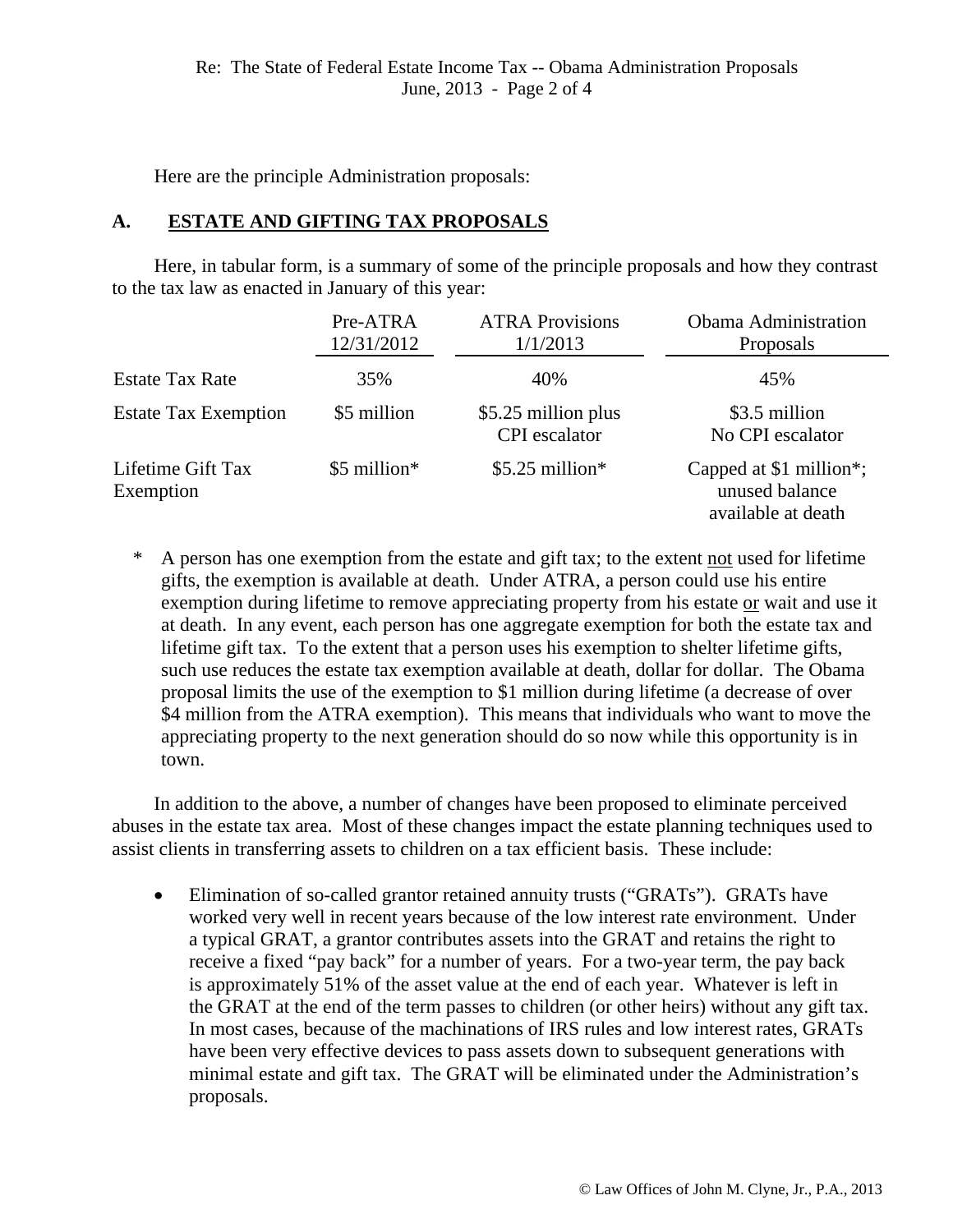Here are the principle Administration proposals:

### **A. ESTATE AND GIFTING TAX PROPOSALS**

 Here, in tabular form, is a summary of some of the principle proposals and how they contrast to the tax law as enacted in January of this year:

|                                | Pre-ATRA<br>12/31/2012 | <b>ATRA Provisions</b><br>1/1/2013          | <b>Obama Administration</b><br>Proposals                        |
|--------------------------------|------------------------|---------------------------------------------|-----------------------------------------------------------------|
| <b>Estate Tax Rate</b>         | 35%                    | 40%                                         | 45%                                                             |
| <b>Estate Tax Exemption</b>    | \$5 million            | \$5.25 million plus<br><b>CPI</b> escalator | \$3.5 million<br>No CPI escalator                               |
| Lifetime Gift Tax<br>Exemption | \$5 million*           | $$5.25$ million <sup>*</sup>                | Capped at \$1 million*;<br>unused balance<br>available at death |

\* A person has one exemption from the estate and gift tax; to the extent not used for lifetime gifts, the exemption is available at death. Under ATRA, a person could use his entire exemption during lifetime to remove appreciating property from his estate or wait and use it at death. In any event, each person has one aggregate exemption for both the estate tax and lifetime gift tax. To the extent that a person uses his exemption to shelter lifetime gifts, such use reduces the estate tax exemption available at death, dollar for dollar. The Obama proposal limits the use of the exemption to \$1 million during lifetime (a decrease of over \$4 million from the ATRA exemption). This means that individuals who want to move the appreciating property to the next generation should do so now while this opportunity is in town.

 In addition to the above, a number of changes have been proposed to eliminate perceived abuses in the estate tax area. Most of these changes impact the estate planning techniques used to assist clients in transferring assets to children on a tax efficient basis. These include:

• Elimination of so-called grantor retained annuity trusts ("GRATs"). GRATs have worked very well in recent years because of the low interest rate environment. Under a typical GRAT, a grantor contributes assets into the GRAT and retains the right to receive a fixed "pay back" for a number of years. For a two-year term, the pay back is approximately 51% of the asset value at the end of each year. Whatever is left in the GRAT at the end of the term passes to children (or other heirs) without any gift tax. In most cases, because of the machinations of IRS rules and low interest rates, GRATs have been very effective devices to pass assets down to subsequent generations with minimal estate and gift tax. The GRAT will be eliminated under the Administration's proposals.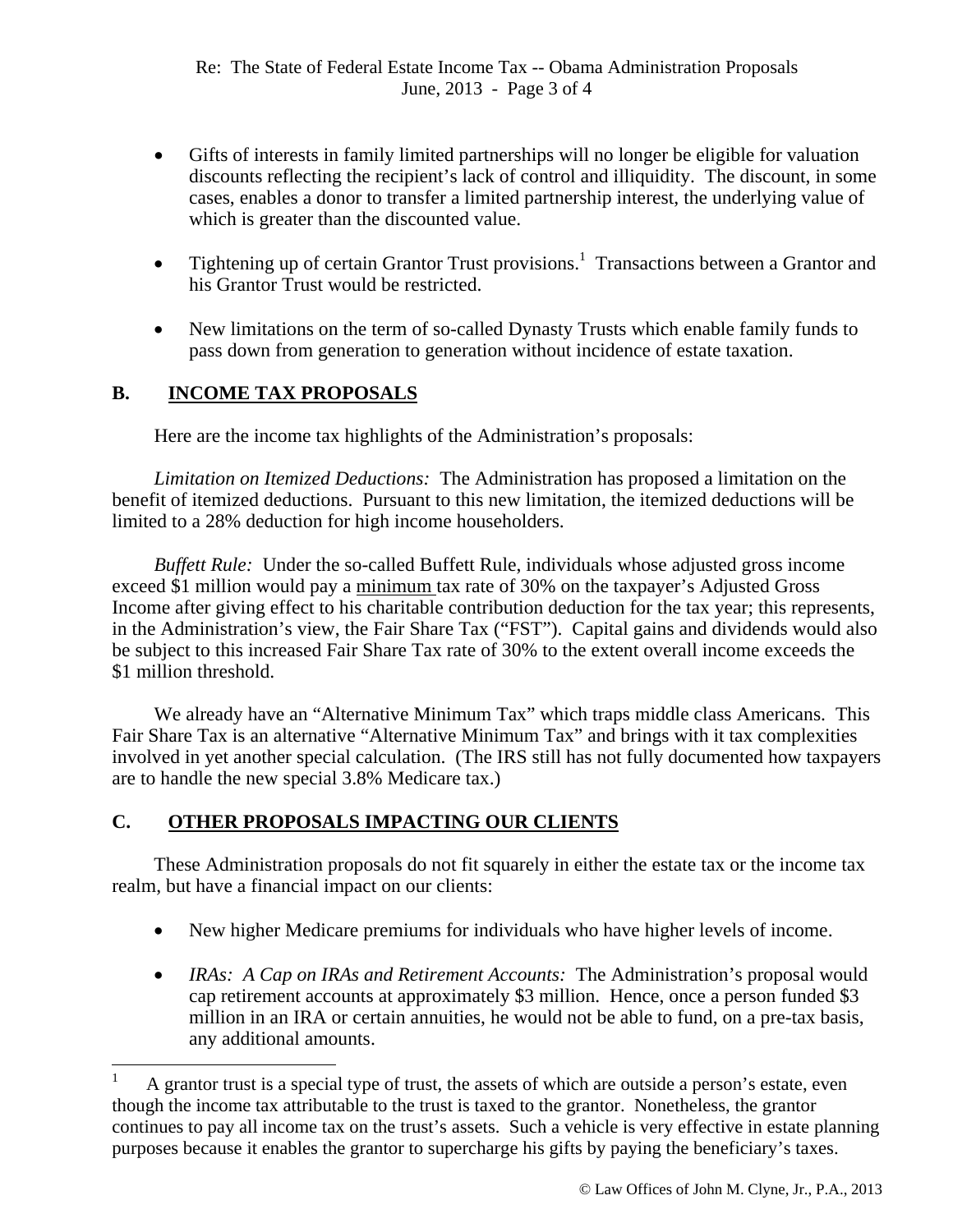- Gifts of interests in family limited partnerships will no longer be eligible for valuation discounts reflecting the recipient's lack of control and illiquidity. The discount, in some cases, enables a donor to transfer a limited partnership interest, the underlying value of which is greater than the discounted value.
- Tightening up of certain Grantor Trust provisions.<sup>1</sup> Transactions between a Grantor and his Grantor Trust would be restricted.
- New limitations on the term of so-called Dynasty Trusts which enable family funds to pass down from generation to generation without incidence of estate taxation.

## **B. INCOME TAX PROPOSALS**

Here are the income tax highlights of the Administration's proposals:

*Limitation on Itemized Deductions:* The Administration has proposed a limitation on the benefit of itemized deductions. Pursuant to this new limitation, the itemized deductions will be limited to a 28% deduction for high income householders.

 *Buffett Rule:* Under the so-called Buffett Rule, individuals whose adjusted gross income exceed \$1 million would pay a minimum tax rate of 30% on the taxpayer's Adjusted Gross Income after giving effect to his charitable contribution deduction for the tax year; this represents, in the Administration's view, the Fair Share Tax ("FST"). Capital gains and dividends would also be subject to this increased Fair Share Tax rate of 30% to the extent overall income exceeds the \$1 million threshold.

We already have an "Alternative Minimum Tax" which traps middle class Americans. This Fair Share Tax is an alternative "Alternative Minimum Tax" and brings with it tax complexities involved in yet another special calculation. (The IRS still has not fully documented how taxpayers are to handle the new special 3.8% Medicare tax.)

## **C. OTHER PROPOSALS IMPACTING OUR CLIENTS**

 These Administration proposals do not fit squarely in either the estate tax or the income tax realm, but have a financial impact on our clients:

- New higher Medicare premiums for individuals who have higher levels of income.
- *IRAs: A Cap on IRAs and Retirement Accounts:* The Administration's proposal would cap retirement accounts at approximately \$3 million. Hence, once a person funded \$3 million in an IRA or certain annuities, he would not be able to fund, on a pre-tax basis, any additional amounts.

<sup>1</sup> A grantor trust is a special type of trust, the assets of which are outside a person's estate, even though the income tax attributable to the trust is taxed to the grantor. Nonetheless, the grantor continues to pay all income tax on the trust's assets. Such a vehicle is very effective in estate planning purposes because it enables the grantor to supercharge his gifts by paying the beneficiary's taxes.